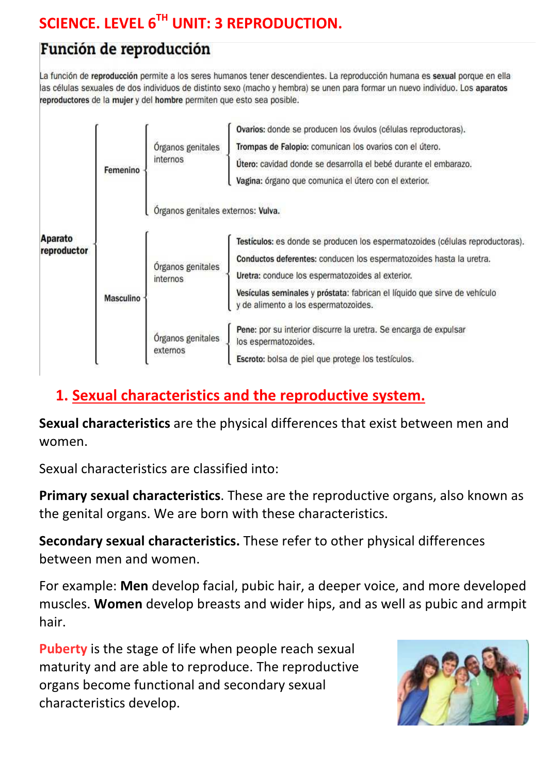# SCIENCE. LEVEL 6TH UNIT: 3 REPRODUCTION.

## Función de reproducción

La función de reproducción permite a los seres humanos tener descendientes. La reproducción humana es sexual porque en ella las células sexuales de dos individuos de distinto sexo (macho y hembra) se unen para formar un nuevo individuo. Los aparatos reproductores de la mujer y del hombre permiten que esto sea posible.

| Aparato<br>reproductor | Femenino         | Órganos genitales<br>internos      | Ovarios: donde se producen los óvulos (células reproductoras).<br>Trompas de Falopio: comunican los ovarios con el útero.<br>Utero: cavidad donde se desarrolla el bebé durante el embarazo.<br>Vagina: órgano que comunica el útero con el exterior.                                                                         |
|------------------------|------------------|------------------------------------|-------------------------------------------------------------------------------------------------------------------------------------------------------------------------------------------------------------------------------------------------------------------------------------------------------------------------------|
|                        |                  | Órganos genitales externos: Vulva. |                                                                                                                                                                                                                                                                                                                               |
|                        | <b>Masculino</b> | Órganos genitales<br>internos      | Testículos: es donde se producen los espermatozoides (células reproductoras).<br>Conductos deferentes: conducen los espermatozoides hasta la uretra.<br>Uretra: conduce los espermatozoides al exterior.<br>Vesículas seminales y próstata: fabrican el líquido que sirve de vehículo<br>y de alimento a los espermatozoides. |
|                        |                  | Órganos genitales<br>externos      | Pene: por su interior discurre la uretra. Se encarga de expulsar<br>los espermatozoides.<br>Escroto: bolsa de piel que protege los testículos.                                                                                                                                                                                |

## 1. Sexual characteristics and the reproductive system.

Sexual characteristics are the physical differences that exist between men and women.

Sexual characteristics are classified into:

Primary sexual characteristics. These are the reproductive organs, also known as the genital organs. We are born with these characteristics.

Secondary sexual characteristics. These refer to other physical differences between men and women.

For example: Men develop facial, pubic hair, a deeper voice, and more developed muscles. Women develop breasts and wider hips, and as well as pubic and armpit hair.

Puberty is the stage of life when people reach sexual maturity and are able to reproduce. The reproductive organs become functional and secondary sexual characteristics develop.

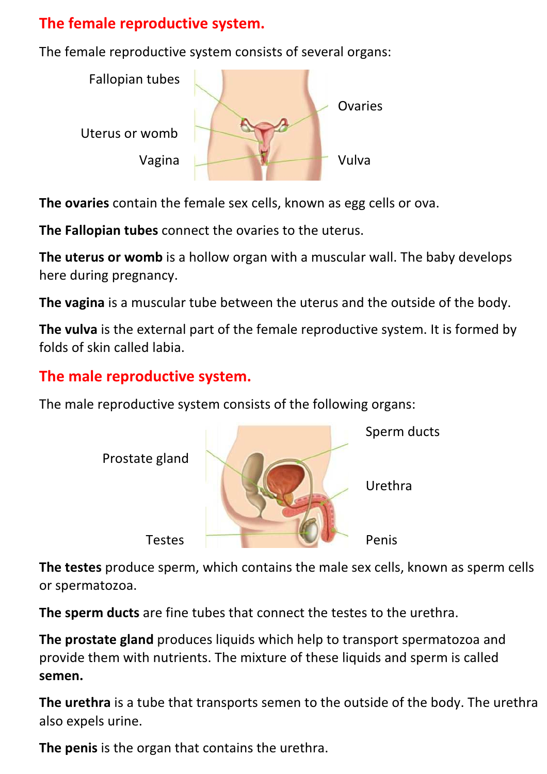## The female reproductive system.

The female reproductive system consists of several organs:



The ovaries contain the female sex cells, known as egg cells or ova.

The Fallopian tubes connect the ovaries to the uterus.

The uterus or womb is a hollow organ with a muscular wall. The baby develops here during pregnancy.

The vagina is a muscular tube between the uterus and the outside of the body.

The vulva is the external part of the female reproductive system. It is formed by folds of skin called labia.

## The male reproductive system.

The male reproductive system consists of the following organs:



The testes produce sperm, which contains the male sex cells, known as sperm cells or spermatozoa.

The sperm ducts are fine tubes that connect the testes to the urethra.

The prostate gland produces liquids which help to transport spermatozoa and provide them with nutrients. The mixture of these liquids and sperm is called semen.

The urethra is a tube that transports semen to the outside of the body. The urethra also expels urine.

The penis is the organ that contains the urethra.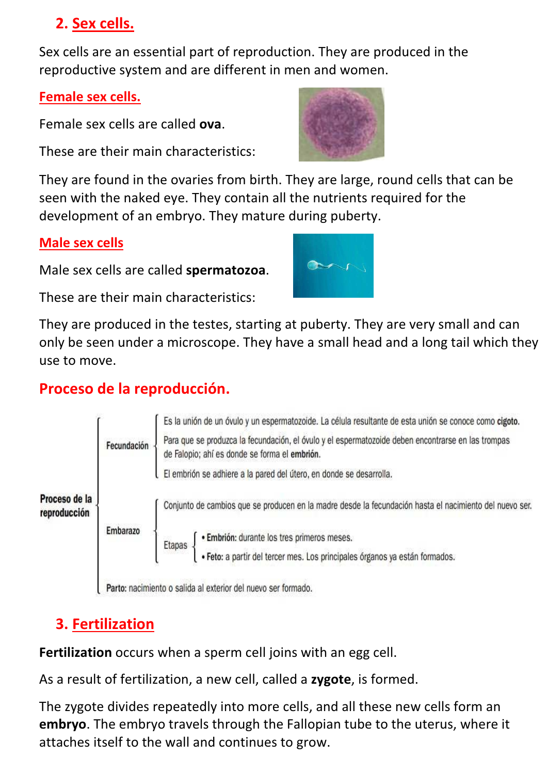## 2. Sex cells.

Sex cells are an essential part of reproduction. They are produced in the reproductive system and are different in men and women.

#### Female sex cells.

Female sex cells are called ova.

These are their main characteristics:

They are found in the ovaries from birth. They are large, round cells that can be seen with the naked eye. They contain all the nutrients required for the development of an embryo. They mature during puberty.

### Male sex cells

Male sex cells are called spermatozoa.

These are their main characteristics:

They are produced in the testes, starting at puberty. They are very small and can only be seen under a microscope. They have a small head and a long tail which they use to move.

## Proceso de la reproducción.



## 3. Fertilization

Fertilization occurs when a sperm cell joins with an egg cell.

As a result of fertilization, a new cell, called a zygote, is formed.

The zygote divides repeatedly into more cells, and all these new cells form an embryo. The embryo travels through the Fallopian tube to the uterus, where it attaches itself to the wall and continues to grow.